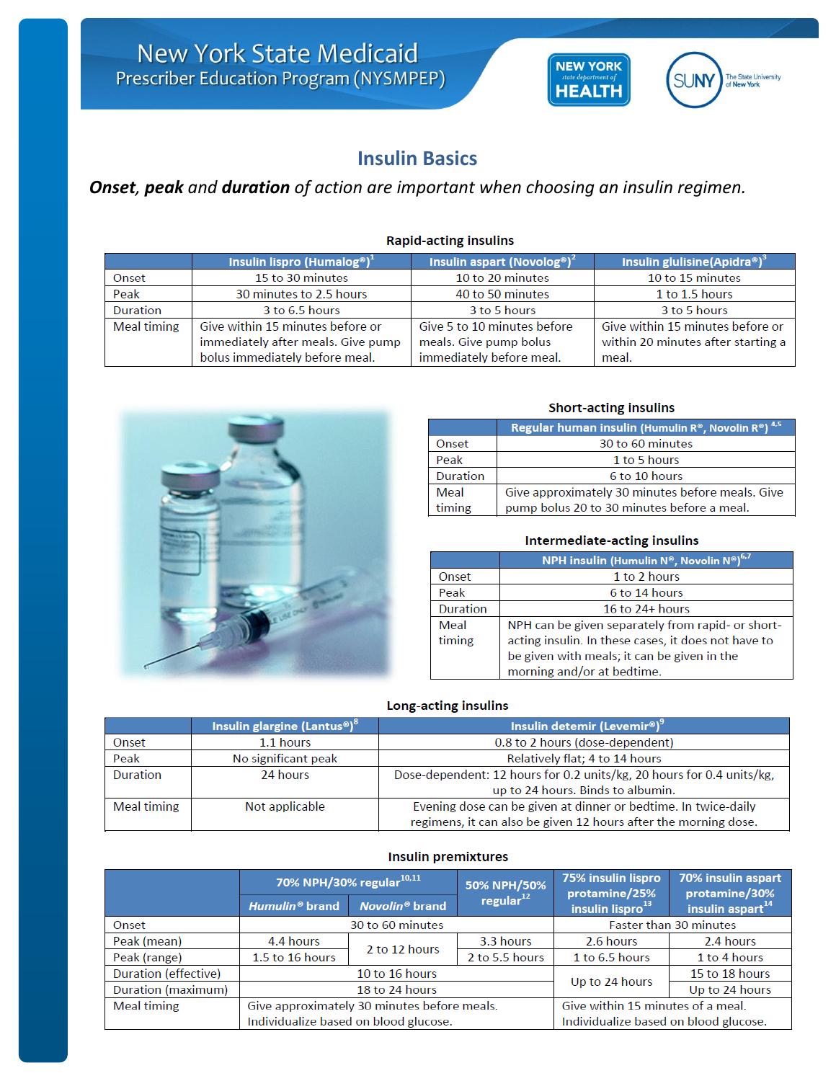# **Insulin Basics**

# *Onset, peak and duration of action are important when choosing an insulin regimen.*

|                    | Insulin lispro (Humalog®) <sup>1</sup> | Insulin aspart (Novolog®) <sup>2</sup> | Insulin glulisine(Apidra®)         |
|--------------------|----------------------------------------|----------------------------------------|------------------------------------|
| Onset              | 15 to 30 minutes                       | 10 to 20 minutes                       | 10 to 15 minutes                   |
| Peak               | 30 minutes to 2.5 hours                | 40 to 50 minutes                       | 1 to 1.5 hours                     |
| <b>Duration</b>    | 3 to 6.5 hours                         | 3 to 5 hours                           | 3 to 5 hours                       |
| <b>Meal timing</b> | Give within 15 minutes before or       | Give 5 to 10 minutes before            | Give within 15 minutes before or   |
|                    | immediately after meals. Give pump     | meals. Give pump bolus                 | within 20 minutes after starting a |
|                    | bolus immediately before meal.         | immediately before meal.               | meal.                              |





# **Short-acting insulins**

**NEW YORK** 

**HEALTH** 

The State University<br>of New York

ij N

|                 | Regular human insulin (Humulin R®, Novolin R®) 4,5 |
|-----------------|----------------------------------------------------|
| Onset           | 30 to 60 minutes                                   |
| Peak            | 1 to 5 hours                                       |
| <b>Duration</b> | 6 to 10 hours                                      |
| Meal            | Give approximately 30 minutes before meals. Give   |
| timing          | pump bolus 20 to 30 minutes before a meal.         |

## Intermediate-acting insulins

|                 | <b>NPH insulin (Humulin N°, Novolin N°)</b> <sup>6,7</sup> |
|-----------------|------------------------------------------------------------|
| Onset           | 1 to 2 hours                                               |
| Peak            | 6 to 14 hours                                              |
| <b>Duration</b> | 16 to $24+$ hours                                          |
| Meal            | NPH can be given separately from rapid- or short-          |
| timing          | acting insulin. In these cases, it does not have to        |
|                 | be given with meals; it can be given in the                |
|                 | morning and/or at bedtime.                                 |

### Long-acting insulins

|                    | Insulin glargine (Lantus <sup>®</sup> ) <sup>8</sup> | Insulin detemir (Levemir®) <sup>9</sup>                               |
|--------------------|------------------------------------------------------|-----------------------------------------------------------------------|
| Onset              | 1.1 hours                                            | 0.8 to 2 hours (dose-dependent)                                       |
| Peak               | No significant peak                                  | Relatively flat; 4 to 14 hours                                        |
| <b>Duration</b>    | 24 hours                                             | Dose-dependent: 12 hours for 0.2 units/kg, 20 hours for 0.4 units/kg, |
|                    |                                                      | up to 24 hours. Binds to albumin.                                     |
| <b>Meal timing</b> | Not applicable                                       | Evening dose can be given at dinner or bedtime. In twice-daily        |
|                    |                                                      | regimens, it can also be given 12 hours after the morning dose.       |

# **Insulin premixtures**

|                      | 70% NPH/30% regular <sup>10,11</sup>        |                            | 50% NPH/50%                           | 75% insulin lispro<br>protamine/25% | 70% insulin aspart<br>protamine/30% |
|----------------------|---------------------------------------------|----------------------------|---------------------------------------|-------------------------------------|-------------------------------------|
|                      | Humulin <sup>®</sup> brand                  | Novolin <sup>®</sup> brand | regular $12$                          | insulin lispro <sup>13</sup>        | insulin aspart <sup>14</sup>        |
| Onset                | 30 to 60 minutes                            |                            | <b>Faster than 30 minutes</b>         |                                     |                                     |
| Peak (mean)          | 4.4 hours                                   | 2 to 12 hours              | 3.3 hours                             | 2.6 hours                           | 2.4 hours                           |
| Peak (range)         | 1.5 to 16 hours                             |                            | 2 to 5.5 hours                        | 1 to 6.5 hours                      | 1 to 4 hours                        |
| Duration (effective) | 10 to 16 hours                              |                            |                                       | Up to 24 hours                      | 15 to 18 hours                      |
| Duration (maximum)   | 18 to 24 hours                              |                            |                                       |                                     | Up to 24 hours                      |
| <b>Meal timing</b>   | Give approximately 30 minutes before meals. |                            |                                       | Give within 15 minutes of a meal.   |                                     |
|                      | Individualize based on blood glucose.       |                            | Individualize based on blood glucose. |                                     |                                     |